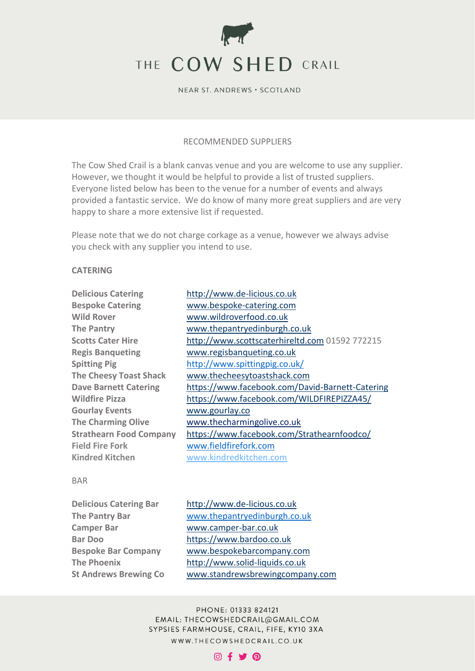

## RECOMMENDED SUPPLIERS

The Cow Shed Crail is a blank canvas venue and you are welcome to use any supplier. However, we thought it would be helpful to provide a list of trusted suppliers. Everyone listed below has been to the venue for a number of events and always provided a fantastic service. We do know of many more great suppliers and are very happy to share a more extensive list if requested.

Please note that we do not charge corkage as a venue, however we always advise you check with any supplier you intend to use.

## **CATERING**

**Delicious Catering** [http://www.de-licious.co.uk](http://www.de-licious.co.uk/) **Bespoke Catering** [www.bespoke-catering.com](http://www.bespoke-catering.com/) **Wild Rover** [www.wildroverfood.co.uk](http://www.wildroverfood.co.uk/) **Regis Banqueting** [www.regisbanqueting.co.uk](http://www.regisbanqueting.co.uk/) **Gourlay Events** [www.gourlay.co](http://www.gourlay.co/) **Field Fire Fork** [www.fieldfirefork.com](http://www.fieldfirefork.com/) **Kindred Kitchen** [www.kindredkitchen.com](http://www.kindredkitchen.com/)

**The Pantry** [www.thepantryedinburgh.co.uk](http://www.thepantryedinburgh.co.uk/) **Scotts Cater Hire** [http://www.scottscaterhireltd.com](http://www.scottscaterhireltd.com/) 01592 772215 **Spitting Pig** <http://www.spittingpig.co.uk/> **The Cheesy Toast Shack** [www.thecheesytoastshack.com](http://www.thecheesytoastshack.com/) **Dave Barnett Catering** <https://www.facebook.com/David-Barnett-Catering> **Wildfire Pizza** <https://www.facebook.com/WILDFIREPIZZA45/> **The Charming Olive** [www.thecharmingolive.co.uk](http://www.thecharmingolive.co.uk/) **Strathearn Food Company** <https://www.facebook.com/Strathearnfoodco/>

#### BAR

**Delicious Catering Bar** [http://www.de-licious.co.uk](http://www.de-licious.co.uk/) **The Pantry Bar** [www.thepantryedinburgh.co.uk](http://www.thepantryedinburgh.co.uk/) **Camper Bar** [www.camper-bar.co.uk](http://www.camper-bar.co.uk/) **Bar Doo** [https://www.bardoo.co.uk](https://www.bardoo.co.uk/) **Bespoke Bar Company** [www.bespokebarcompany.com](http://www.bespokebarcompany.com/) **The Phoenix** [http://www.solid-liquids.co.uk](http://www.solid-liquids.co.uk/)

**St Andrews Brewing Co** [www.standrewsbrewingcompany.com](http://www.standrewsbrewingcompany.com/)

PHONE: 01333 824121 EMAIL: THECOWSHEDCRAIL@GMAIL.COM SYPSIES FARMHOUSE, CRAIL, FIFE, KY10 3XA WWW.THECOWSHEDCRAIL.CO.UK

# ◎ f y @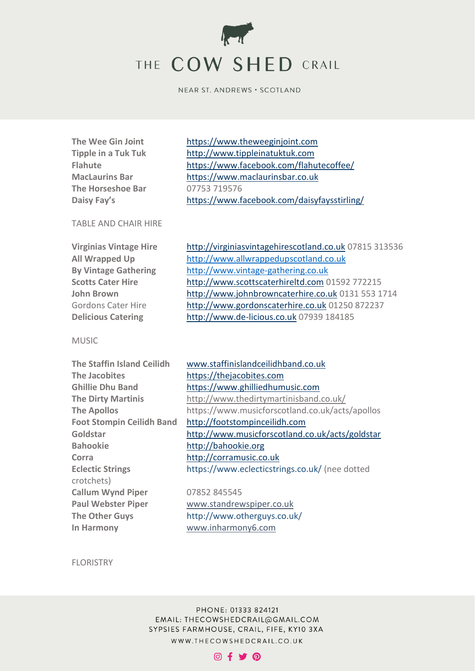

**The Horseshoe Bar** 07753 719576

**The Wee Gin Joint** [https://www.theweeginjoint.com](https://www.theweeginjoint.com/) **Tipple in a Tuk Tuk** [http://www.tippleinatuktuk.com](http://www.tippleinatuktuk.com/) **Flahute** <https://www.facebook.com/flahutecoffee/> **MacLaurins Bar** [https://www.maclaurinsbar.co.uk](https://www.maclaurinsbar.co.uk/) **Daisy Fay's** <https://www.facebook.com/daisyfaysstirling/>

## TABLE AND CHAIR HIRE

| <b>Virginias Vintage Hire</b> | http://virginiasvintagehirescotland.co.uk 07815 313536 |
|-------------------------------|--------------------------------------------------------|
| <b>All Wrapped Up</b>         | http://www.allwrappedupscotland.co.uk                  |
| <b>By Vintage Gathering</b>   | http://www.vintage-gathering.co.uk                     |
| <b>Scotts Cater Hire</b>      | http://www.scottscaterhireltd.com 01592 772215         |
| <b>John Brown</b>             | http://www.johnbrowncaterhire.co.uk 0131 553 1714      |
| <b>Gordons Cater Hire</b>     | http://www.gordonscaterhire.co.uk 01250 872237         |
| <b>Delicious Catering</b>     | http://www.de-licious.co.uk 07939 184185               |
|                               |                                                        |

## MUSIC

| The Staffin Island Ceilidh       | www.staffinislandceilidhband.co.uk              |
|----------------------------------|-------------------------------------------------|
| The Jacobites                    | https://thejacobites.com                        |
| <b>Ghillie Dhu Band</b>          | https://www.ghilliedhumusic.com                 |
| <b>The Dirty Martinis</b>        | http://www.thedirtymartinisband.co.uk/          |
| <b>The Apollos</b>               | https://www.musicforscotland.co.uk/acts/apollos |
| <b>Foot Stompin Ceilidh Band</b> | http://footstompinceilidh.com                   |
| Goldstar                         | http://www.musicforscotland.co.uk/acts/goldstar |
| <b>Bahookie</b>                  | http://bahookie.org                             |
| Corra                            | http://corramusic.co.uk                         |
| <b>Eclectic Strings</b>          | https://www.eclecticstrings.co.uk/ (nee dotted  |
| crotchets)                       |                                                 |
| <b>Callum Wynd Piper</b>         | 07852 845545                                    |
| <b>Paul Webster Piper</b>        | www.standrewspiper.co.uk                        |
| <b>The Other Guys</b>            | http://www.otherguys.co.uk/                     |
| In Harmony                       | www.inharmony6.com                              |

FLORISTRY

PHONE: 01333 824121 EMAIL: THECOWSHEDCRAIL@GMAIL.COM SYPSIES FARMHOUSE, CRAIL, FIFE, KY10 3XA WWW.THECOWSHEDCRAIL.CO.UK

# $O(f \times O)$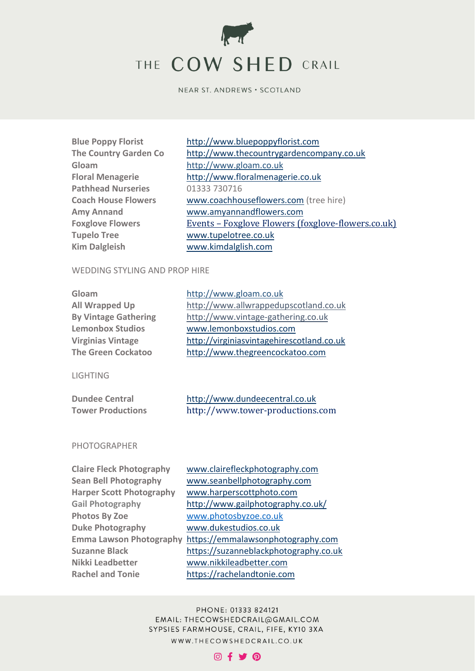

**Gloam** [http://www.gloam.co.uk](http://www.gloam.co.uk/) **Pathhead Nurseries** 01333 730716 **Tupelo Tree** [www.tupelotree.co.uk](http://www.tupelotree.co.uk/) **Kim Dalgleish** [www.kimdalglish.com](http://www.kimdalglish.com/)

**Blue Poppy Florist** [http://www.bluepoppyflorist.com](http://www.bluepoppyflorist.com/) **The Country Garden Co** [http://www.thecountrygardencompany.co.uk](http://www.thecountrygardencompany.co.uk/) **Floral Menagerie** [http://www.floralmenagerie.co.uk](http://www.floralmenagerie.co.uk/) **Coach House Flowers** [www.coachhouseflowers.com](http://www.coachhouseflowers.com/) (tree hire) **Amy Annand** [www.amyannandflowers.com](http://www.amyannandflowers.com/) Foxglove Flowers **Events – [Foxglove Flowers \(foxglove-flowers.co.uk\)](https://www.foxglove-flowers.co.uk/pages/vases)** 

## WEDDING STYLING AND PROP HIRE

| Gloam                                                                                              | http://www.gloam.co.uk                                                                    |
|----------------------------------------------------------------------------------------------------|-------------------------------------------------------------------------------------------|
| <b>All Wrapped Up</b>                                                                              | http://www.allwrappedupscotland.co.uk                                                     |
| <b>By Vintage Gathering</b>                                                                        | http://www.vintage-gathering.co.uk                                                        |
| <b>Lemonbox Studios</b>                                                                            | www.lemonboxstudios.com                                                                   |
| <b>Virginias Vintage</b>                                                                           | http://virginiasvintagehirescotland.co.uk                                                 |
| <b>The Green Cockatoo</b>                                                                          | http://www.thegreencockatoo.com                                                           |
| <b>LIGHTING</b><br><b>Dundee Central</b><br><b>Tower Productions</b>                               | http://www.dundeecentral.co.uk<br>http://www.tower-productions.com                        |
| <b>PHOTOGRAPHER</b>                                                                                |                                                                                           |
| <b>Claire Fleck Photography</b><br><b>Sean Bell Photography</b><br><b>Harper Scott Photography</b> | www.clairefleckphotography.com<br>www.seanbellphotography.com<br>www.harperscottphoto.com |

PHONE: 01333 824121 EMAIL: THECOWSHEDCRAIL@GMAIL.COM SYPSIES FARMHOUSE, CRAIL, FIFE, KY10 3XA WWW.THECOWSHEDCRAIL.CO.UK

**Photos By Zoe** [www.photosbyzoe.co.uk](http://www.photosbyzoe.co.uk/) **Duke Photography** [www.dukestudios.co.uk](http://www.dukestudios.co.uk/)

[www.nikkileadbetter.com](http://www.nikkileadbetter.com/) [https://rachelandtonie.com](https://rachelandtonie.com/)

| <b>Claire Fleck Photography</b> |
|---------------------------------|
| <b>Sean Bell Photography</b>    |
| <b>Harper Scott Photography</b> |
| <b>Gail Photography</b>         |
| <b>Photos By Zoe</b>            |
| <b>Duke Photography</b>         |
| <b>Emma Lawson Photography</b>  |
| <b>Suzanne Black</b>            |
| <b>Nikki Leadbetter</b>         |
| <b>Rachel and Tonie</b>         |

**Gail Photography** http://www.gailphotography.co.uk/

[https://emmalawsonphotography.com](https://emmalawsonphotography.com/) **Suzanne Black** [https://suzanneblackphotography.co.uk](https://suzanneblackphotography.co.uk/)

## $@f$  y  $@$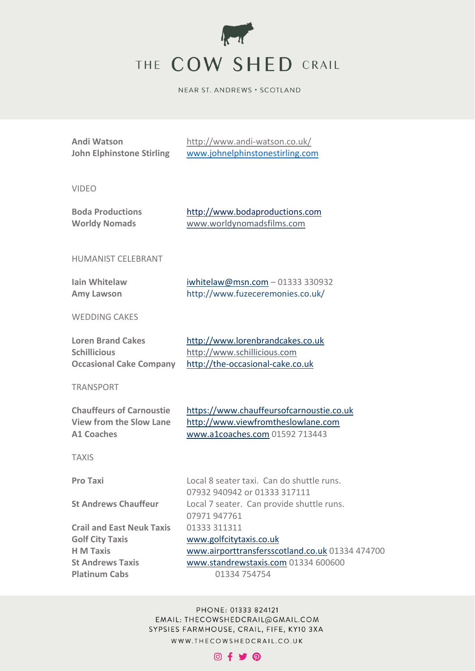

| <b>Andi Watson</b><br><b>John Elphinstone Stirling</b>                                                                            | http://www.andi-watson.co.uk/<br>www.johnelphinstonestirling.com                                                                                  |
|-----------------------------------------------------------------------------------------------------------------------------------|---------------------------------------------------------------------------------------------------------------------------------------------------|
| <b>VIDEO</b>                                                                                                                      |                                                                                                                                                   |
| <b>Boda Productions</b><br><b>Worldy Nomads</b>                                                                                   | http://www.bodaproductions.com<br>www.worldynomadsfilms.com                                                                                       |
| <b>HUMANIST CELEBRANT</b>                                                                                                         |                                                                                                                                                   |
| <b>Iain Whitelaw</b><br><b>Amy Lawson</b>                                                                                         | $iwhitelaw@msn.com - 01333330932$<br>http://www.fuzeceremonies.co.uk/                                                                             |
| <b>WEDDING CAKES</b>                                                                                                              |                                                                                                                                                   |
| <b>Loren Brand Cakes</b><br><b>Schillicious</b><br><b>Occasional Cake Company</b>                                                 | http://www.lorenbrandcakes.co.uk<br>http://www.schillicious.com<br>http://the-occasional-cake.co.uk                                               |
| <b>TRANSPORT</b>                                                                                                                  |                                                                                                                                                   |
| <b>Chauffeurs of Carnoustie</b><br><b>View from the Slow Lane</b><br><b>A1 Coaches</b>                                            | https://www.chauffeursofcarnoustie.co.uk<br>http://www.viewfromtheslowlane.com<br>www.a1coaches.com 01592 713443                                  |
| <b>TAXIS</b>                                                                                                                      |                                                                                                                                                   |
| <b>Pro Taxi</b>                                                                                                                   | Local 8 seater taxi. Can do shuttle runs.<br>07932 940942 or 01333 317111                                                                         |
| <b>St Andrews Chauffeur</b>                                                                                                       | Local 7 seater. Can provide shuttle runs.<br>07971 947761                                                                                         |
| <b>Crail and East Neuk Taxis</b><br><b>Golf City Taxis</b><br><b>H</b> M Taxis<br><b>St Andrews Taxis</b><br><b>Platinum Cabs</b> | 01333 311311<br>www.golfcitytaxis.co.uk<br>www.airporttransfersscotland.co.uk 01334 474700<br>www.standrewstaxis.com 01334 600600<br>01334 754754 |

PHONE: 01333 824121 EMAIL: THECOWSHEDCRAIL@GMAIL.COM SYPSIES FARMHOUSE, CRAIL, FIFE, KY10 3XA WWW.THECOWSHEDCRAIL.CO.UK

# $@f$   $Q$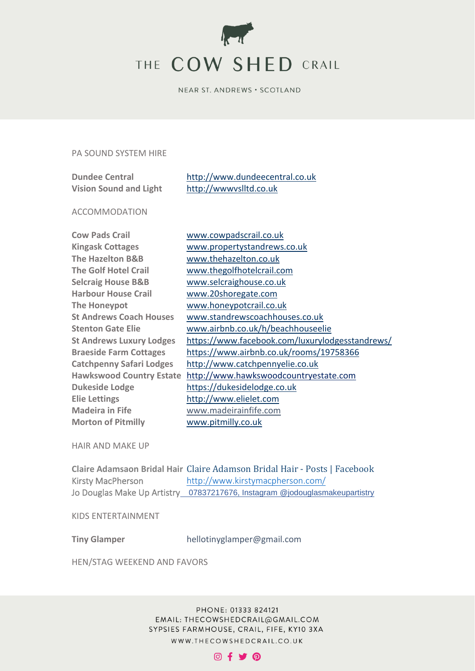

## PA SOUND SYSTEM HIRE

| <b>Dundee Central</b>         | http://www.dundeecentral.co.uk |
|-------------------------------|--------------------------------|
| <b>Vision Sound and Light</b> | http://wwwyslltd.co.uk         |

## ACCOMMODATION

| <b>Cow Pads Crail</b>           | www.cowpadscrail.   |
|---------------------------------|---------------------|
| <b>Kingask Cottages</b>         | www.propertystand   |
| <b>The Hazelton B&amp;B</b>     | www.thehazelton.c   |
| <b>The Golf Hotel Crail</b>     | www.thegolfhotelc   |
| <b>Selcraig House B&amp;B</b>   | www.selcraighouse   |
| <b>Harbour House Crail</b>      | www.20shoregate.o   |
| The Honeypot                    | www.honeypotcrail   |
| <b>St Andrews Coach Houses</b>  | www.standrewscoa    |
| <b>Stenton Gate Elie</b>        | www.airbnb.co.uk/   |
| <b>St Andrews Luxury Lodges</b> | https://www.facebo  |
| <b>Braeside Farm Cottages</b>   | https://www.airbnb  |
| <b>Catchpenny Safari Lodges</b> | http://www.catchp   |
| <b>Hawkswood Country Estate</b> | http://www.hawksy   |
| <b>Dukeside Lodge</b>           | https://dukesidelod |
| <b>Elie Lettings</b>            | http://www.elielet. |
| <b>Madeira in Fife</b>          | www.madeirainfife.  |
| <b>Morton of Pitmilly</b>       | www.pitmilly.co.uk  |

[www.cowpadscrail.co.uk](http://www.cowpadscrail.co.uk/) **Kingask Cottages** [www.propertystandrews.co.uk](http://www.propertystandrews.co.uk/) [www.thehazelton.co.uk](http://www.thehazelton.co.uk/) [www.thegolfhotelcrail.com](http://www.thegolfhotelcrail.com/) [www.selcraighouse.co.uk](http://www.selcraighouse.co.uk/) **Harbour House Crail** [www.20shoregate.com](http://www.20shoregate.com/) [www.honeypotcrail.co.uk](http://www.honeypotcrail.co.uk/) **St Andrews Coach Houses** [www.standrewscoachhouses.co.uk](http://www.standrewscoachhouses.co.uk/) **Stenton Gate Elie** [www.airbnb.co.uk/h/beachhouseelie](http://www.airbnb.co.uk/h/beachhouseelie) <https://www.facebook.com/luxurylodgesstandrews/> **Braeside Farm Cottages** <https://www.airbnb.co.uk/rooms/19758366> **Catchpenny Safari Lodges** [http://www.catchpennyelie.co.uk](http://www.catchpennyelie.co.uk/) [http://www.hawkswoodcountryestate.com](http://www.hawkswoodcountryestate.com/) [https://dukesidelodge.co.uk](https://dukesidelodge.co.uk/) **Elie Lettings** [http://www.elielet.com](http://www.elielet.com/) **Madeira in Fife** www.madeirainfife.com

HAIR AND MAKE UP

**Claire Adamsaon Bridal Hair** [Claire Adamson Bridal Hair -](https://www.facebook.com/pg/Claire-Adamson-Bridal-Hair-101270924972582/posts/) Posts | Facebook Kirsty MacPherson <http://www.kirstymacpherson.com/> Jo Douglas Make Up Artistry 07837217676, Instagram @jodouglasmakeupartistry

KIDS ENTERTAINMENT

**Tiny Glamper** hellotinyglamper@gmail.com

HEN/STAG WEEKEND AND FAVORS

PHONE: 01333 824121 EMAIL: THECOWSHEDCRAIL@GMAIL.COM SYPSIES FARMHOUSE, CRAIL, FIFE, KY10 3XA WWW.THECOWSHEDCRAIL.CO.UK

# © f ♥ @